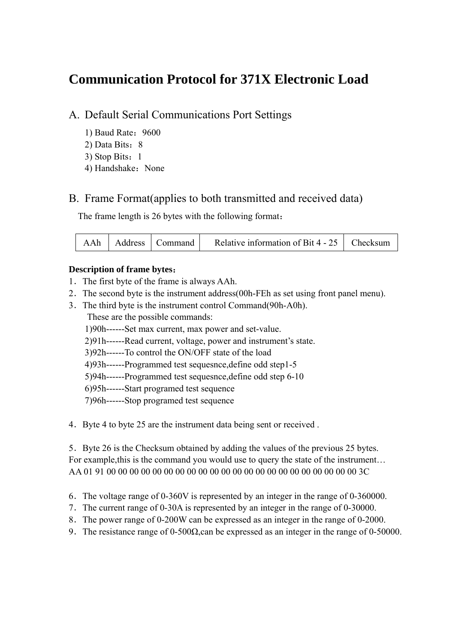# **Communication Protocol for 371X Electronic Load**

### A. Default Serial Communications Port Settings

- 1) Baud Rate:9600
- 2) Data Bits: 8
- 3) Stop Bits:1
- 4) Handshake: None

### B. Frame Format(applies to both transmitted and received data)

The frame length is 26 bytes with the following format:

| AAh   Address   Command  <br>Relative information of Bit 4 - 25 $\parallel$ Checksum |  |
|--------------------------------------------------------------------------------------|--|
|--------------------------------------------------------------------------------------|--|

#### **Description of frame bytes**:

- 1.The first byte of the frame is always AAh.
- 2.The second byte is the instrument address(00h-FEh as set using front panel menu).
- 3.The third byte is the instrument control Command(90h-A0h). These are the possible commands:
	- 1)90h------Set max current, max power and set-value.
	- 2)91h------Read current, voltage, power and instrument's state.
	- 3)92h------To control the ON/OFF state of the load
	- 4)93h------Programmed test sequesnce,define odd step1-5
	- 5)94h------Programmed test sequesnce,define odd step 6-10
	- 6)95h------Start programed test sequence
	- 7)96h------Stop programed test sequence
- 4.Byte 4 to byte 25 are the instrument data being sent or received .

5.Byte 26 is the Checksum obtained by adding the values of the previous 25 bytes. For example,this is the command you would use to query the state of the instrument… AA 01 91 00 00 00 00 00 00 00 00 00 00 00 00 00 00 00 00 00 00 00 00 00 00 3C

- 6.The voltage range of 0-360V is represented by an integer in the range of 0-360000.
- 7.The current range of 0-30A is represented by an integer in the range of 0-30000.
- 8.The power range of 0-200W can be expressed as an integer in the range of 0-2000.
- 9.The resistance range of 0-500Ω,can be expressed as an integer in the range of 0-50000.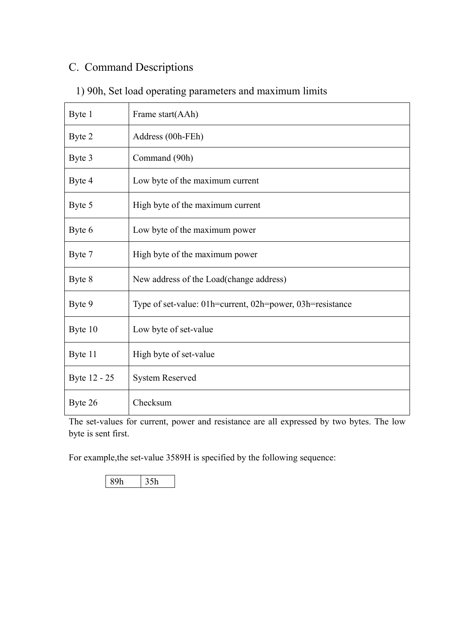## C. Command Descriptions

| Byte 1       | Frame start(AAh)                                          |
|--------------|-----------------------------------------------------------|
| Byte 2       | Address (00h-FEh)                                         |
| Byte 3       | Command (90h)                                             |
| Byte 4       | Low byte of the maximum current                           |
| Byte 5       | High byte of the maximum current                          |
| Byte 6       | Low byte of the maximum power                             |
| Byte 7       | High byte of the maximum power                            |
| Byte 8       | New address of the Load (change address)                  |
| Byte 9       | Type of set-value: 01h=current, 02h=power, 03h=resistance |
| Byte 10      | Low byte of set-value                                     |
| Byte 11      | High byte of set-value                                    |
| Byte 12 - 25 | <b>System Reserved</b>                                    |
| Byte 26      | Checksum                                                  |

## 1) 90h, Set load operating parameters and maximum limits

The set-values for current, power and resistance are all expressed by two bytes. The low byte is sent first.

For example,the set-value 3589H is specified by the following sequence:

89h 35h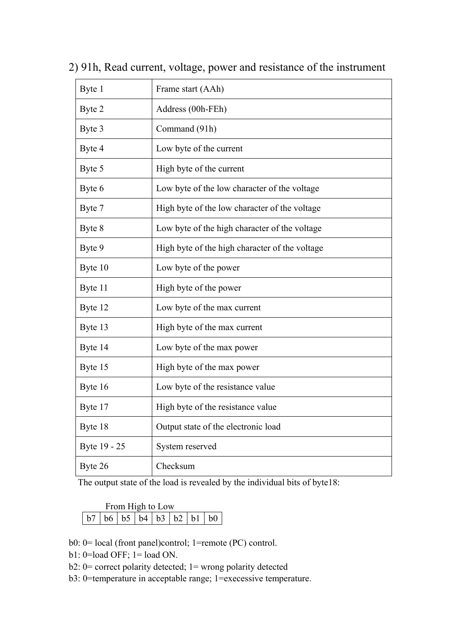| Byte 1       | Frame start (AAh)                              |
|--------------|------------------------------------------------|
| Byte 2       | Address (00h-FEh)                              |
| Byte 3       | Command (91h)                                  |
| Byte 4       | Low byte of the current                        |
| Byte 5       | High byte of the current                       |
| Byte 6       | Low byte of the low character of the voltage   |
| Byte 7       | High byte of the low character of the voltage  |
| Byte 8       | Low byte of the high character of the voltage  |
| Byte 9       | High byte of the high character of the voltage |
| Byte 10      | Low byte of the power                          |
| Byte 11      | High byte of the power                         |
| Byte 12      | Low byte of the max current                    |
| Byte 13      | High byte of the max current                   |
| Byte 14      | Low byte of the max power                      |
| Byte 15      | High byte of the max power                     |
| Byte 16      | Low byte of the resistance value               |
| Byte 17      | High byte of the resistance value              |
| Byte 18      | Output state of the electronic load            |
| Byte 19 - 25 | System reserved                                |
| Byte 26      | Checksum                                       |

2) 91h, Read current, voltage, power and resistance of the instrument

The output state of the load is revealed by the individual bits of byte18:

| From High to Low |  |  |  |  |  |  |  |  |
|------------------|--|--|--|--|--|--|--|--|
|                  |  |  |  |  |  |  |  |  |

b0: 0= local (front panel)control; 1=remote (PC) control.

- b1: 0=load OFF; 1= load ON.
- b2: 0= correct polarity detected; 1= wrong polarity detected
- b3: 0=temperature in acceptable range; 1=execessive temperature.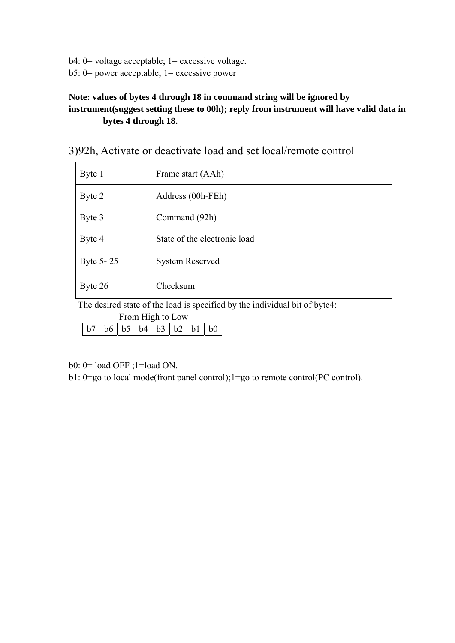b4: 0= voltage acceptable; 1= excessive voltage. b5: 0= power acceptable; 1= excessive power

#### **Note: values of bytes 4 through 18 in command string will be ignored by instrument(suggest setting these to 00h); reply from instrument will have valid data in bytes 4 through 18.**

| Byte 1    | Frame start (AAh)            |
|-----------|------------------------------|
| Byte 2    | Address (00h-FEh)            |
| Byte 3    | Command (92h)                |
| Byte 4    | State of the electronic load |
| Byte 5-25 | <b>System Reserved</b>       |
| Byte 26   | Checksum                     |

3)92h, Activate or deactivate load and set local/remote control

The desired state of the load is specified by the individual bit of byte4:

From High to Low

|--|--|--|--|--|

b0: 0= load OFF ;1=load ON.

b1: 0=go to local mode(front panel control);1=go to remote control(PC control).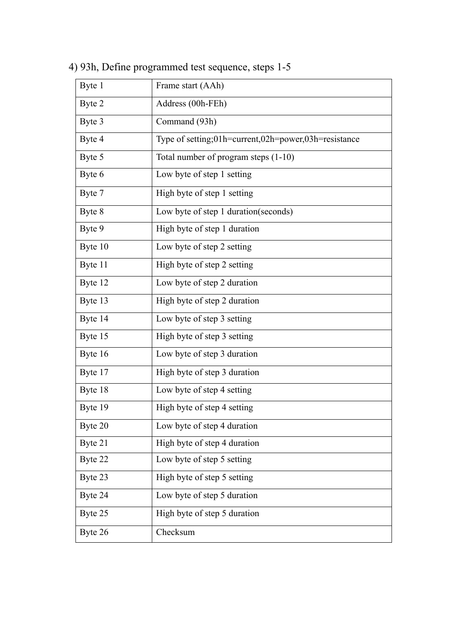| Byte 1  | Frame start (AAh)                                    |
|---------|------------------------------------------------------|
| Byte 2  | Address (00h-FEh)                                    |
| Byte 3  | Command (93h)                                        |
| Byte 4  | Type of setting;01h=current,02h=power,03h=resistance |
| Byte 5  | Total number of program steps (1-10)                 |
| Byte 6  | Low byte of step 1 setting                           |
| Byte 7  | High byte of step 1 setting                          |
| Byte 8  | Low byte of step 1 duration (seconds)                |
| Byte 9  | High byte of step 1 duration                         |
| Byte 10 | Low byte of step 2 setting                           |
| Byte 11 | High byte of step 2 setting                          |
| Byte 12 | Low byte of step 2 duration                          |
| Byte 13 | High byte of step 2 duration                         |
| Byte 14 | Low byte of step 3 setting                           |
| Byte 15 | High byte of step 3 setting                          |
| Byte 16 | Low byte of step 3 duration                          |
| Byte 17 | High byte of step 3 duration                         |
| Byte 18 | Low byte of step 4 setting                           |
| Byte 19 | High byte of step 4 setting                          |
| Byte 20 | Low byte of step 4 duration                          |
| Byte 21 | High byte of step 4 duration                         |
| Byte 22 | Low byte of step 5 setting                           |
| Byte 23 | High byte of step 5 setting                          |
| Byte 24 | Low byte of step 5 duration                          |
| Byte 25 | High byte of step 5 duration                         |
| Byte 26 | Checksum                                             |

4) 93h, Define programmed test sequence, steps 1-5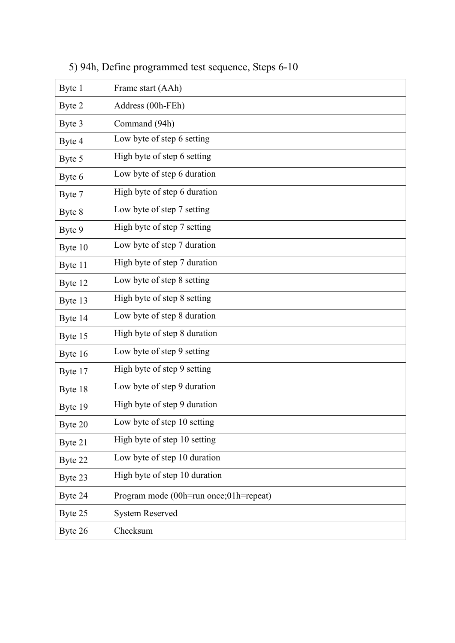| Byte 1  | Frame start (AAh)                      |
|---------|----------------------------------------|
| Byte 2  | Address (00h-FEh)                      |
| Byte 3  | Command (94h)                          |
| Byte 4  | Low byte of step 6 setting             |
| Byte 5  | High byte of step 6 setting            |
| Byte 6  | Low byte of step 6 duration            |
| Byte 7  | High byte of step 6 duration           |
| Byte 8  | Low byte of step 7 setting             |
| Byte 9  | High byte of step 7 setting            |
| Byte 10 | Low byte of step 7 duration            |
| Byte 11 | High byte of step 7 duration           |
| Byte 12 | Low byte of step 8 setting             |
| Byte 13 | High byte of step 8 setting            |
| Byte 14 | Low byte of step 8 duration            |
| Byte 15 | High byte of step 8 duration           |
| Byte 16 | Low byte of step 9 setting             |
| Byte 17 | High byte of step 9 setting            |
| Byte 18 | Low byte of step 9 duration            |
| Byte 19 | High byte of step 9 duration           |
| Byte 20 | Low byte of step 10 setting            |
| Byte 21 | High byte of step 10 setting           |
| Byte 22 | Low byte of step 10 duration           |
| Byte 23 | High byte of step 10 duration          |
| Byte 24 | Program mode (00h=run once;01h=repeat) |
| Byte 25 | <b>System Reserved</b>                 |
| Byte 26 | Checksum                               |

5) 94h, Define programmed test sequence, Steps 6-10